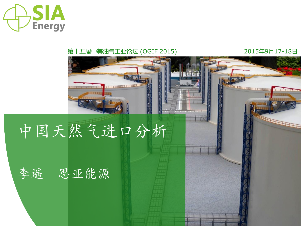

#### 第十五届中美油气工业论坛 (OGIF 2015) 2015年9月17-18日

 $16 - 10$ 

**ERRED** 

# 中国天然气进口分析

## 李遥 思亚能源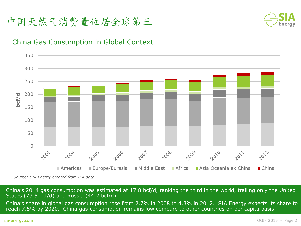

### China Gas Consumption in Global Context



*Source: SIA Energy created from IEA data*

China's 2014 gas consumption was estimated at 17.8 bcf/d, ranking the third in the world, trailing only the United States (73.5 bcf/d) and Russia (44.2 bcf/d).

China's share in global gas consumption rose from 2.7% in 2008 to 4.3% in 2012. SIA Energy expects its share to reach 7.5% by 2020. China gas consumption remains low compare to other countries on per capita basis.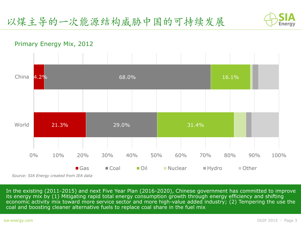

#### Primary Energy Mix, 2012



In the existing (2011-2015) and next Five Year Plan (2016-2020), Chinese government has committed to improve its energy mix by (1) Mitigating rapid total energy consumption growth through energy efficiency and shifting economic activity mix toward more service sector and more high-value added industry; (2) Tempering the use the coal and boosting cleaner alternative fuels to replace coal share in the fuel mix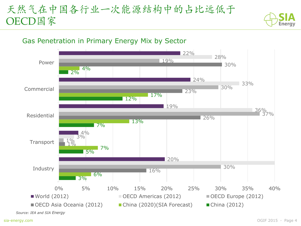## 天然气在中国各行业一次能源结构中的占比远低于 OECD国家



## Gas Penetration in Primary Energy Mix by Sector

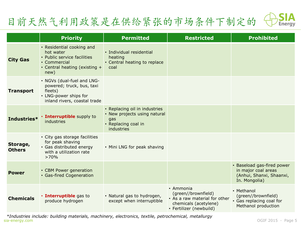## 目前天然气利用政策是在供给紧张的市场条件下制定的



|                           | <b>Priority</b>                                                                                                                | <b>Permitted</b>                                                                                          | <b>Restricted</b>                                                                                                     | <b>Prohibited</b>                                                                              |
|---------------------------|--------------------------------------------------------------------------------------------------------------------------------|-----------------------------------------------------------------------------------------------------------|-----------------------------------------------------------------------------------------------------------------------|------------------------------------------------------------------------------------------------|
| <b>City Gas</b>           | • Residential cooking and<br>hot water<br>• Public service facilities<br>• Commercial<br>• Central heating (existing +<br>new) | • Individual residential<br>heating<br>• Central heating to replace<br>coal                               |                                                                                                                       |                                                                                                |
| <b>Transport</b>          | • NGVs (dual-fuel and LNG-<br>powered; truck, bus, taxi<br>fleets)<br>• LNG-power ships for<br>inland rivers, coastal trade    |                                                                                                           |                                                                                                                       |                                                                                                |
| Industries*               | · Interruptible supply to<br>industries                                                                                        | • Replacing oil in industries<br>• New projects using natural<br>gas<br>• Replacing coal in<br>industries |                                                                                                                       |                                                                                                |
| Storage,<br><b>Others</b> | • City gas storage facilities<br>for peak shaving<br>• Gas distributed energy<br>with a utilization rate<br>>70%               | • Mini LNG for peak shaving                                                                               |                                                                                                                       |                                                                                                |
| <b>Power</b>              | • CBM Power generation<br>• Gas-fired Cogeneration                                                                             |                                                                                                           |                                                                                                                       | • Baseload gas-fired power<br>in major coal areas<br>(Anhui, Shanxi, Shaanxi,<br>In. Mongolia) |
| <b>Chemicals</b>          | <b>· Interruptible</b> gas to<br>produce hydrogen                                                                              | • Natural gas to hydrogen,<br>except when interruptible                                                   | • Ammonia<br>(green//brownfield)<br>• As a raw material for other<br>chemicals (acetylene)<br>• Fertilizer (newbuild) | • Methanol<br>(green//brownfield)<br>• Gas replacing coal for<br>Methanol production           |

sia-energy.com OGIF 2015 ◦ Page 5 *\*Industries include: building materials, machinery, electronics, textile, petrochemical, metallurgy*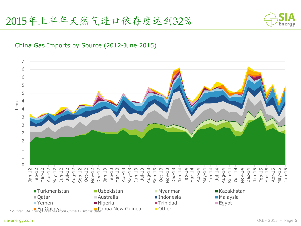

#### China Gas Imports by Source (2012-June 2015)

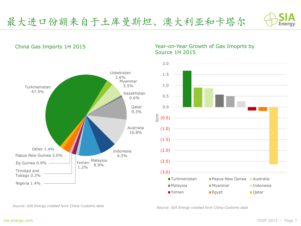*Source: SIA Energy created form China Customs data Source: SIA Energy created form China Customs data*



#### China Gas Imports 1H 2015

#### Year-on-Year Growth of Gas Imoprts by Source 1H 2015



最大进口份额来自于土库曼斯坦、澳大利亚和卡塔尔

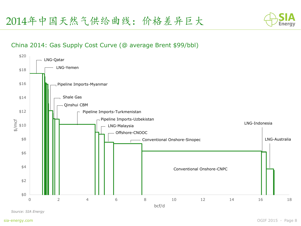

#### China 2014: Gas Supply Cost Curve (@ average Brent \$99/bbl)



*Source: SIA Energy*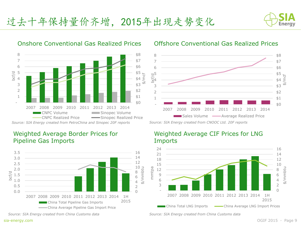







#### Onshore Conventional Gas Realized Prices Offshore Conventional Gas Realized Prices



*Source: SIA Energy created from CNOOC Ltd. 20F reports*



#### Weighted Average CIF Prices for LNG Imports

*Source: SIA Energy created from China Customs data*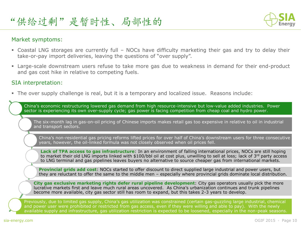

#### Market symptoms:

- Coastal LNG storages are currently full NOCs have difficulty marketing their gas and try to delay their take-or-pay import deliveries, leaving the questions of "over supply".
- Large-scale downstream users refuse to take more gas due to weakness in demand for their end-product and gas cost hike in relative to competing fuels.

#### SIA interpretation:

The over supply challenge is real, but it is a temporary and localized issue. Reasons include:

China's economic restructuring lowered gas demand from high resource-intensive but low-value added industries. Power sector is experiencing its own over-supply cycle; gas power is facing competition from cheap coal and hydro power.

The six-month lag in gas-on-oil pricing of Chinese imports makes retail gas too expensive in relative to oil in industrial and transport sectors.

China's non-residential gas pricing reforms lifted prices for over half of China's downstream users for three consecutive years, however, the oil-linked formula was not closely observed when oil prices fell.

**Lack of TPA access to gas infrastructure**: In an environment of falling international prices, NOCs are still hoping to market their old LNG imports linked with \$100/bbl oil at cost plus, unwilling to sell at loss; lack of 3<sup>rd</sup> party access to LNG terminal and gas pipelines leaves buyers no alternative to source cheaper gas from international markets.

**Provincial grids add cost**: NOCs started to offer discount to direct supplied large industrial and power users, but they are reluctant to offer the same to the middle men – especially where provincial grids dominate local distribution.

**City gas exclusive marketing rights defer rural pipeline development**: City gas operators usually pick the more lucrative markets first and leave much rural areas uncovered. As China's urbanization continues and trunk pipelines become more available, city gas sector still has room to expand, but this takes 2-3 years to develop.

Previously, due to limited gas supply, China's gas utilization was constrained (certain gas-guzzling large industrial, chemical and power user were prohibited or restricted from gas access, even if they were willing and able to pay). With the newly available supply and infrastructure, gas utilization restriction is expected to be loosened, especially in the non-peak seasons.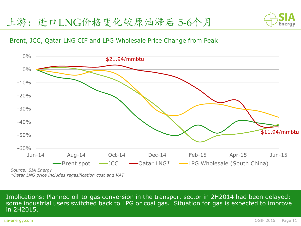

#### Brent, JCC, Qatar LNG CIF and LPG Wholesale Price Change from Peak



Implications: Planned oil-to-gas conversion in the transport sector in 2H2014 had been delayed; some industrial users switched back to LPG or coal gas. Situation for gas is expected to improve in 2H2015.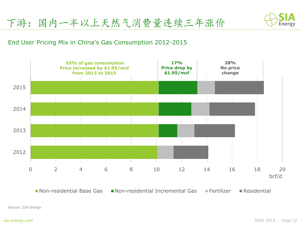

#### End User Pricing Mix in China's Gas Consumption 2012-2015



 $\blacksquare$  Non-residential Base Gas  $\blacksquare$  Non-residential Incremental Gas  $\blacksquare$  Fertilizer  $\blacksquare$  Residential

*Source: SIA Energy*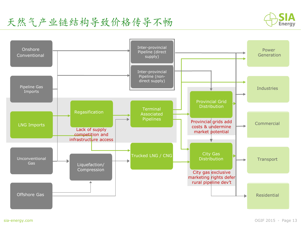天然气产业链结构导致价格传导不畅



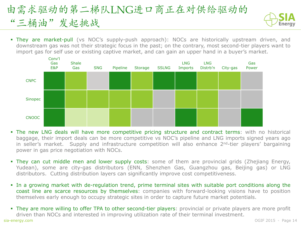## 由需求驱动的第二梯队LNG进口商正在对供给驱动的 "三桶油"发起挑战



 They are market-pull (vs NOC's supply-push approach): NOCs are historically upstream driven, and downstream gas was not their strategic focus in the past; on the contrary, most second-tier players want to import gas for self use or existing captive market, and can gain an upper hand in a buyer's market.



- The new LNG deals will have more competitive pricing structure and contract terms: with no historical baggage, their import deals can be more competitive vs NOC's pipeline and LNG imports signed years ago in seller's market. Supply and infrastructure competition will also enhance 2<sup>nd</sup>-tier players' bargaining power in gas price negotiation with NOCs.
- They can cut middle men and lower supply costs: some of them are provincial grids (Zhejiang Energy, Yudean), some are city-gas distributors (ENN, Shenzhen Gas, Guangzhou gas, Beijing gas) or LNG distributors. Cutting distribution layers can significantly improve cost competitiveness.
- In a growing market with de-regulation trend, prime terminal sites with suitable port conditions along the coast line are scarce resources by themselves: companies with forward-looking visions have to position themselves early enough to occupy strategic sites in order to capture future market potentials.
- sia-energy.com OGIF 2015 Page 14 They are more willing to offer TPA to other second-tier players: provincial or private players are more profit driven than NOCs and interested in improving utilization rate of their terminal investment.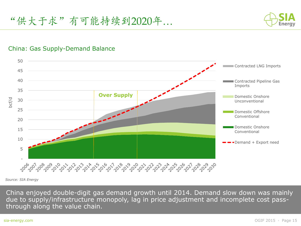

#### China: Gas Supply-Demand Balance



*Source: SIA Energy*

China enjoyed double-digit gas demand growth until 2014. Demand slow down was mainly due to supply/infrastructure monopoly, lag in price adjustment and incomplete cost passthrough along the value chain.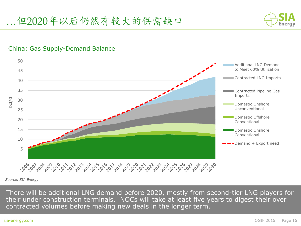

#### China: Gas Supply-Demand Balance



*Source: SIA Energy*

There will be additional LNG demand before 2020, mostly from second-tier LNG players for their under construction terminals. NOCs will take at least five years to digest their over contracted volumes before making new deals in the longer term.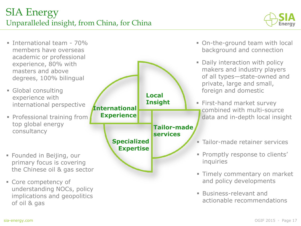

- **International team 70%** members have overseas academic or professional experience, 80% with masters and above degrees, 100% bilingual
- Global consulting experience with international perspective
- **Professional training from** top global energy consultancy
- Founded in Beijing, our primary focus is covering the Chinese oil & gas sector
- Core competency of understanding NOCs, policy implications and geopolitics of oil & gas



- On-the-ground team with local background and connection
- Daily interaction with policy makers and industry players of all types—state-owned and private, large and small, foreign and domestic
- **First-hand market survey** combined with multi-source data and in-depth local insight
- **Tailor-made retainer services**
- **Promptly response to clients'** inquiries
- **Timely commentary on market** and policy developments
- Business-relevant and actionable recommendations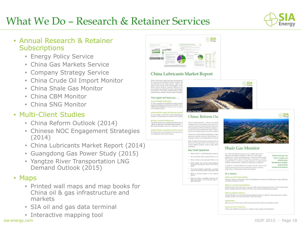## What We Do – Research & Retainer Services



### • Annual Research & Retainer **Subscriptions**

- Energy Policy Service
- China Gas Markets Service
- Company Strategy Service
- China Crude Oil Import Monitor
- China Shale Gas Monitor
- China CBM Monitor
- China SNG Monitor

## • Multi-Client Studies

- China Reform Outlook (2014)
- Chinese NOC Engagement Strategies (2014)
- China Lubricants Market Report (2014)
- Guangdong Gas Power Study (2015)
- Yangtze River Transportation LNG Demand Outlook (2015)

#### • Maps

- Printed wall maps and map books for China oil & gas infrastructure and markets
- SIA oil and gas data terminal
- Interactive mapping tool



#### China Lubricants Market Report

China's lubricants market has been attracting top<br>its strong demand potential, decent margins, libe<br>and openness to non-state investors. But for alr player in this market-even Chinese NOCs-relial data is hard to come by, making it difficult to unit<br>true market size, demand structure and competit<br>environment. This report, based on SIA's sustair monitoring the market, annuary there important

#### This report will help you. . .

access valuable market data access vanisate maintained definitions behind public<br>in China, standards and definitions behind public<br>requiring all data be analyzed and verified. SIA is<br>Lubricants Database is based on our experie<br>and local data access.

understand the supply and demand situation As an example, we not only examine blending car capacity, real production by Group and by player

p a forward-looking vi This study answers an important question for inv<br>-2010 continue for the lubricants market? (<br>five-year forecast, offers an insightful, unco

understand the competitive positions and st We look at the current positions of top state-own any challenges they may be facing

China's oil and gas sector cannot be underst There are various market expectations: liber ges prices, greater access to downstream, must

With 15 years of experience working with a China's oil and gas sector, SIA members have duestions:

China: Reform Ou

The Xi-Li administration - Chine's new leade<br>redesign the current political and economic s<br>up the corruption to boost Chinese Commun The importance of the 3rd Plenary Session,<br>for the new party leadership's reform plans,

#### **Key Client Questions**

- . What is the Xi-Li administration trying to
- . How are these reform goals directly or in-
- . What is škely to be achieved? What is no . What makes the current administra
- political and economic views and what re-<br>goals?
- \* The anti-comuption campaign is unpreci-<br>Impact the Chinese NOCs, especially CNP
- . What is driving change in the relation

· What are likely / possible scenarios for<br>does the impact on oil and gas sector<br>each scenario?







#### **Shale Gas Monitor**

Our Shale Oas Monitor gives you an in-depth look at hot<br>shale gas and tight oil projects in China, as well as the show you are upper our progressing. Covering wholly-owned<br>industry as a whole, are progressing. Covering wholly-owned<br>NOC shale projects, blocks with foreign cooperation, and MLR-<br>awarded blocks, we take a granular approac

In addition to preject details and supply forecasts, the moniin admission to project determ and suppre rorscascs, the not<br>explores above ground and monetization issues including<br>shale policy, infrastructure access and pricing.

Ricked shale gas and tight ail supply and infrantructure development outlook. built up from protect-level analysis

#### At a Glance Shale Gas and Oil Status Update

Quarterly report on exploration, pilot and development progress and challenges at major shale gas<br>and tight oil projects in China

#### Shale Gas and Oil Protect Database

Detailed project-level information covering 1) NOC self-operated shale blocks, 2) Sinu-foreign shale<br>blocks including both joint studies and PSCa, and 3) MLR-awarded shale gas blocks

Shalo Cas Pipeline Database Detailed database on shale gas-dedicated pipelines (partners, operator, status, gas source, design<br>capacity, length, announced start data, risked start date)

#### Reliable Mans

Clear and up-to-date maps of valid shale gas and tight of blocks and pipeline access

Responsive SIA Commentary Timely and insightful commentary on industry events, policy and implications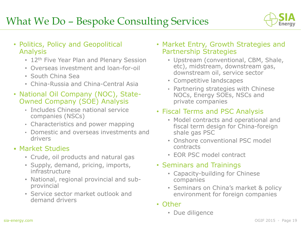

- Politics, Policy and Geopolitical Analysis
	- 12<sup>th</sup> Five Year Plan and Plenary Session
	- Overseas investment and loan-for-oil
	- South China Sea
	- China-Russia and China-Central Asia
- National Oil Company (NOC), State-Owned Company (SOE) Analysis
	- Includes Chinese national service companies (NSCs)
	- Characteristics and power mapping
	- Domestic and overseas investments and drivers

## Market Studies

- Crude, oil products and natural gas
- Supply, demand, pricing, imports, infrastructure
- National, regional provincial and subprovincial
- Service sector market outlook and demand drivers
- Market Entry, Growth Strategies and Partnership Strategies
	- Upstream (conventional, CBM, Shale, etc), midstream, downstream gas, downstream oil, service sector
	- Competitive landscapes
	- Partnering strategies with Chinese NOCs, Energy SOEs, NSCs and private companies

### • Fiscal Terms and PSC Analysis

- Model contracts and operational and fiscal term design for China-foreign shale gas PSC
- Onshore conventional PSC model contracts
- EOR PSC model contract

### • Seminars and Trainings

- Capacity-building for Chinese companies
- Seminars on China's market & policy environment for foreign companies
- Other
	- Due diligence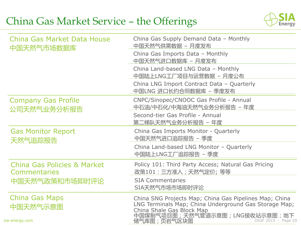## China Gas Market Service – the Offerings



| China Gas Market Data House<br>中国天然气市场数据库                     | China Gas Supply Demand Data - Monthly<br>中国天然气供需数据 - 月度发布                                                                                                                                                           |  |  |
|---------------------------------------------------------------|----------------------------------------------------------------------------------------------------------------------------------------------------------------------------------------------------------------------|--|--|
|                                                               | China Gas Imports Data - Monthly<br>中国天然气进口数据库 - 月度发布                                                                                                                                                                |  |  |
|                                                               | China Land-based LNG Data - Monthly<br>中国陆上LNG工厂项目与运营数据 - 月度公布                                                                                                                                                       |  |  |
|                                                               | China LNG Import Contract Data - Quarterly<br>中国LNG 进口长约合同数据库 - 季度发布                                                                                                                                                 |  |  |
| <b>Company Gas Profile</b><br>公司天然气业务分析报告                     | CNPC/Sinopec/CNOOC Gas Profile - Annual<br>中石油/中石化/中海油天然气业务分析报告 – 年度<br>Second-tier Gas Profile - Annual<br>第二梯队天然气业务分析报告 – 年度                                                                                       |  |  |
| <b>Gas Monitor Report</b><br>天然气追踪报告                          | China Gas Imports Monitor - Quarterly<br>中国天然气进口追踪报告 - 季度                                                                                                                                                            |  |  |
|                                                               | China Land-based LNG Monitor - Quarterly<br>中国陆上LNG工厂追踪报告 - 季度                                                                                                                                                       |  |  |
| <b>China Gas Policies &amp; Market</b><br><b>Commentaries</b> | Policy 101: Third Party Access; Natural Gas Pricing<br>政策101 : 三方准入 ; 天然气定价; 等等                                                                                                                                      |  |  |
| 中国天然气政策和市场即时评论                                                | <b>SIA Commentaries</b><br>SIA天然气市场市场即时评论                                                                                                                                                                            |  |  |
| <b>China Gas Maps</b><br>中国天然气示意图<br>sia-energy.com           | China SNG Projects Map; China Gas Pipelines Map; China<br>LNG Terminals Map; China Underground Gas Storage Map;<br>China Shale Gas Block Map<br>中国煤制气项目图;天然气管道示意图;LNG接收站示意图;地下<br>储气库图;页岩气区块图<br>OGIF 2015 • Page 20 |  |  |